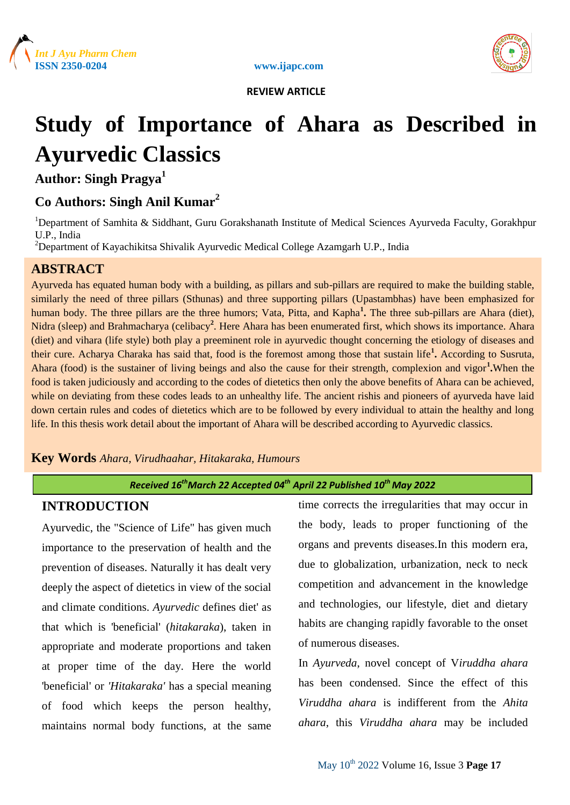





# **Study of Importance of Ahara as Described in Ayurvedic Classics**

**Author: Singh Pragya<sup>1</sup>**

# **Co Authors: Singh Anil Kumar<sup>2</sup>**

<sup>1</sup>Department of Samhita & Siddhant, Guru Gorakshanath Institute of Medical Sciences Ayurveda Faculty, Gorakhpur U.P., India

<sup>2</sup>Department of Kayachikitsa Shivalik Ayurvedic Medical College Azamgarh U.P., India

# **ABSTRACT**

Ayurveda has equated human body with a building, as pillars and sub-pillars are required to make the building stable, similarly the need of three pillars (Sthunas) and three supporting pillars (Upastambhas) have been emphasized for human body. The three pillars are the three humors; Vata, Pitta, and Kapha<sup>1</sup>. The three sub-pillars are Ahara (diet), Nidra (sleep) and Brahmacharya (celibacy<sup>2</sup>. Here Ahara has been enumerated first, which shows its importance. Ahara (diet) and vihara (life style) both play a preeminent role in ayurvedic thought concerning the etiology of diseases and their cure. Acharya Charaka has said that, food is the foremost among those that sustain life**<sup>1</sup> .** According to Susruta, Ahara (food) is the sustainer of living beings and also the cause for their strength, complexion and vigor**<sup>1</sup> .**When the food is taken judiciously and according to the codes of dietetics then only the above benefits of Ahara can be achieved, while on deviating from these codes leads to an unhealthy life. The ancient rishis and pioneers of ayurveda have laid down certain rules and codes of dietetics which are to be followed by every individual to attain the healthy and long life. In this thesis work detail about the important of Ahara will be described according to Ayurvedic classics.

# **Key Words** *Ahara, Virudhaahar, Hitakaraka, Humours*

## *Received 16thMarch 22 Accepted 04th April 22 Published 10th May 2022*

# **INTRODUCTION**

Ayurvedic, the "Science of Life" has given much importance to the preservation of health and the prevention of diseases. Naturally it has dealt very deeply the aspect of dietetics in view of the social and climate conditions. *Ayurvedic* defines diet' as that which is 'beneficial' (*hitakaraka*), taken in appropriate and moderate proportions and taken at proper time of the day. Here the world 'beneficial' or *'Hitakaraka'* has a special meaning of food which keeps the person healthy, maintains normal body functions, at the same

time corrects the irregularities that may occur in the body, leads to proper functioning of the organs and prevents diseases.In this modern era, due to globalization, urbanization, neck to neck competition and advancement in the knowledge and technologies, our lifestyle, diet and dietary habits are changing rapidly favorable to the onset of numerous diseases.

In *Ayurveda*, novel concept of V*iruddha ahara*  has been condensed. Since the effect of this *Viruddha ahara* is indifferent from the *Ahita ahara*, this *Viruddha ahara* may be included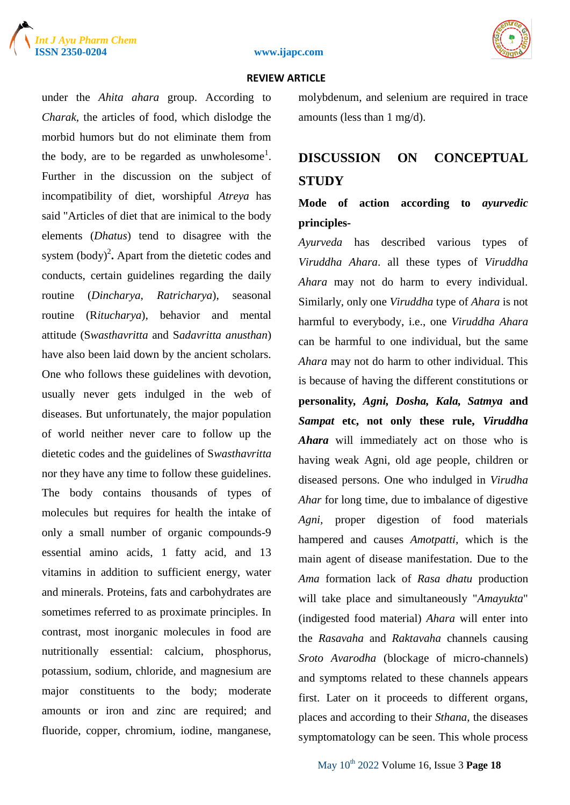





under the *Ahita ahara* group. According to *Charak,* the articles of food, which dislodge the morbid humors but do not eliminate them from the body, are to be regarded as unwholesome<sup>1</sup>. Further in the discussion on the subject of incompatibility of diet, worshipful *Atreya* has said "Articles of diet that are inimical to the body elements (*Dhatus*) tend to disagree with the system  $(body)^2$ . Apart from the dietetic codes and conducts, certain guidelines regarding the daily routine (*Dincharya*, *Ratricharya*), seasonal routine (R*itucharya*), behavior and mental attitude (S*wasthavritta* and S*adavritta anusthan*) have also been laid down by the ancient scholars. One who follows these guidelines with devotion, usually never gets indulged in the web of diseases. But unfortunately, the major population of world neither never care to follow up the dietetic codes and the guidelines of S*wasthavritta* nor they have any time to follow these guidelines. The body contains thousands of types of molecules but requires for health the intake of only a small number of organic compounds-9 essential amino acids, 1 fatty acid, and 13 vitamins in addition to sufficient energy, water and minerals. Proteins, fats and carbohydrates are sometimes referred to as proximate principles. In contrast, most inorganic molecules in food are nutritionally essential: calcium, phosphorus, potassium, sodium, chloride, and magnesium are major constituents to the body; moderate amounts or iron and zinc are required; and fluoride, copper, chromium, iodine, manganese,

molybdenum, and selenium are required in trace amounts (less than 1 mg/d).

# **DISCUSSION ON CONCEPTUAL STUDY**

# **Mode of action according to** *ayurvedic* **principles-**

*Ayurveda* has described various types of *Viruddha Ahara*. all these types of *Viruddha Ahara* may not do harm to every individual. Similarly, only one *Viruddha* type of *Ahara* is not harmful to everybody, i.e., one *Viruddha Ahara* can be harmful to one individual, but the same *Ahara* may not do harm to other individual. This is because of having the different constitutions or **personality***, Agni, Dosha, Kala, Satmya* **and**  *Sampat* **etc, not only these rule,** *Viruddha Ahara* will immediately act on those who is having weak Agni, old age people, children or diseased persons. One who indulged in *Virudha Ahar* for long time, due to imbalance of digestive *Agni,* proper digestion of food materials hampered and causes *Amotpatti,* which is the main agent of disease manifestation. Due to the *Ama* formation lack of *Rasa dhatu* production will take place and simultaneously "*Amayukta*" (indigested food material) *Ahara* will enter into the *Rasavaha* and *Raktavaha* channels causing *Sroto Avarodha* (blockage of micro-channels) and symptoms related to these channels appears first. Later on it proceeds to different organs, places and according to their *Sthana*, the diseases symptomatology can be seen. This whole process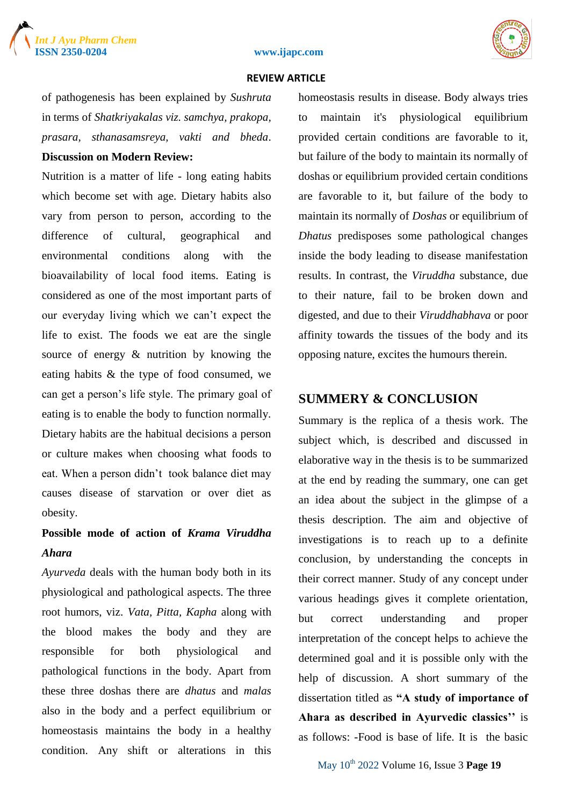

#### **ISSN 2350-0204 www.ijapc.com**

#### **REVIEW ARTICLE**

of pathogenesis has been explained by *Sushruta* in terms of *Shatkriyakalas viz. samchya, prakopa, prasara, sthanasamsreya, vakti and bheda*.

## **Discussion on Modern Review:**

Nutrition is a matter of life - long eating habits which become set with age. Dietary habits also vary from person to person, according to the difference of cultural, geographical and environmental conditions along with the bioavailability of local food items. Eating is considered as one of the most important parts of our everyday living which we can't expect the life to exist. The foods we eat are the single source of energy & nutrition by knowing the eating habits & the type of food consumed, we can get a person's life style. The primary goal of eating is to enable the body to function normally. Dietary habits are the habitual decisions a person or culture makes when choosing what foods to eat. When a person didn't took balance diet may causes disease of starvation or over diet as obesity.

# **Possible mode of action of** *Krama Viruddha Ahara*

*Ayurveda* deals with the human body both in its physiological and pathological aspects. The three root humors, viz. *Vata, Pitta, Kapha* along with the blood makes the body and they are responsible for both physiological and pathological functions in the body. Apart from these three doshas there are *dhatus* and *malas* also in the body and a perfect equilibrium or homeostasis maintains the body in a healthy condition. Any shift or alterations in this

homeostasis results in disease. Body always tries to maintain it's physiological equilibrium provided certain conditions are favorable to it, but failure of the body to maintain its normally of doshas or equilibrium provided certain conditions are favorable to it, but failure of the body to maintain its normally of *Doshas* or equilibrium of *Dhatus* predisposes some pathological changes inside the body leading to disease manifestation results. In contrast, the *Viruddha* substance, due to their nature, fail to be broken down and digested, and due to their *Viruddhabhava* or poor affinity towards the tissues of the body and its opposing nature, excites the humours therein.

# **SUMMERY & CONCLUSION**

Summary is the replica of a thesis work. The subject which, is described and discussed in elaborative way in the thesis is to be summarized at the end by reading the summary, one can get an idea about the subject in the glimpse of a thesis description. The aim and objective of investigations is to reach up to a definite conclusion, by understanding the concepts in their correct manner. Study of any concept under various headings gives it complete orientation, but correct understanding and proper interpretation of the concept helps to achieve the determined goal and it is possible only with the help of discussion. A short summary of the dissertation titled as **"A study of importance of Ahara as described in Ayurvedic classics''** is as follows: -Food is base of life. It is the basic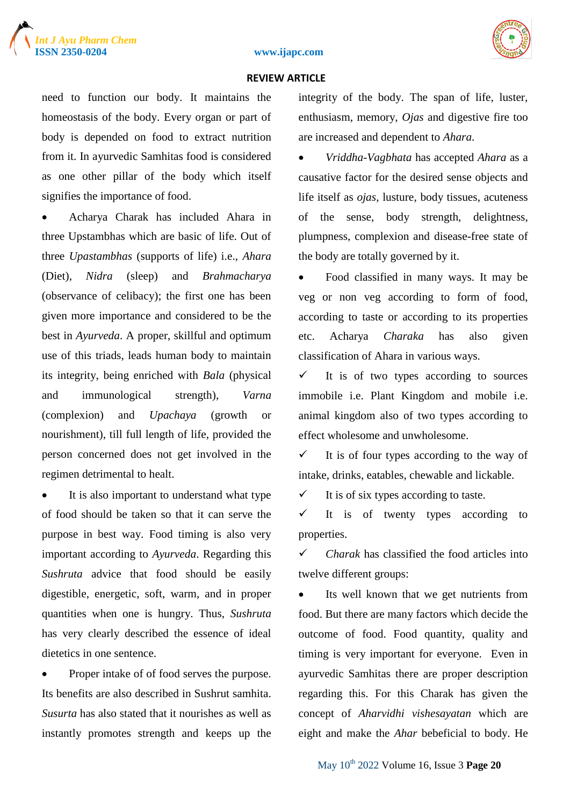





need to function our body. It maintains the homeostasis of the body. Every organ or part of body is depended on food to extract nutrition from it. In ayurvedic Samhitas food is considered as one other pillar of the body which itself signifies the importance of food.

 Acharya Charak has included Ahara in three Upstambhas which are basic of life. Out of three *Upastambhas* (supports of life) i.e., *Ahara* (Diet), *Nidra* (sleep) and *Brahmacharya* (observance of celibacy); the first one has been given more importance and considered to be the best in *Ayurveda*. A proper, skillful and optimum use of this triads, leads human body to maintain its integrity, being enriched with *Bala* (physical and immunological strength), *Varna* (complexion) and *Upachaya* (growth or nourishment), till full length of life, provided the person concerned does not get involved in the regimen detrimental to healt.

• It is also important to understand what type of food should be taken so that it can serve the purpose in best way. Food timing is also very important according to *Ayurveda*. Regarding this *Sushruta* advice that food should be easily digestible, energetic, soft, warm, and in proper quantities when one is hungry. Thus, *Sushruta* has very clearly described the essence of ideal dietetics in one sentence.

 Proper intake of of food serves the purpose. Its benefits are also described in Sushrut samhita. *Susurta* has also stated that it nourishes as well as instantly promotes strength and keeps up the integrity of the body. The span of life, luster, enthusiasm, memory, *Ojas* and digestive fire too are increased and dependent to *Ahara*.

 *Vriddha*-*Vagbhata* has accepted *Ahara* as a causative factor for the desired sense objects and life itself as *ojas*, lusture, body tissues, acuteness of the sense, body strength, delightness, plumpness, complexion and disease-free state of the body are totally governed by it.

 Food classified in many ways. It may be veg or non veg according to form of food, according to taste or according to its properties etc. Acharya *Charaka* has also given classification of Ahara in various ways.

 $\checkmark$  It is of two types according to sources immobile i.e. Plant Kingdom and mobile i.e. animal kingdom also of two types according to effect wholesome and unwholesome.

 $\checkmark$  It is of four types according to the way of intake, drinks, eatables, chewable and lickable.

 $\checkmark$  It is of six types according to taste.

 $\checkmark$  It is of twenty types according to properties.

 *Charak* has classified the food articles into twelve different groups:

• Its well known that we get nutrients from food. But there are many factors which decide the outcome of food. Food quantity, quality and timing is very important for everyone. Even in ayurvedic Samhitas there are proper description regarding this. For this Charak has given the concept of *Aharvidhi vishesayatan* which are eight and make the *Ahar* bebeficial to body. He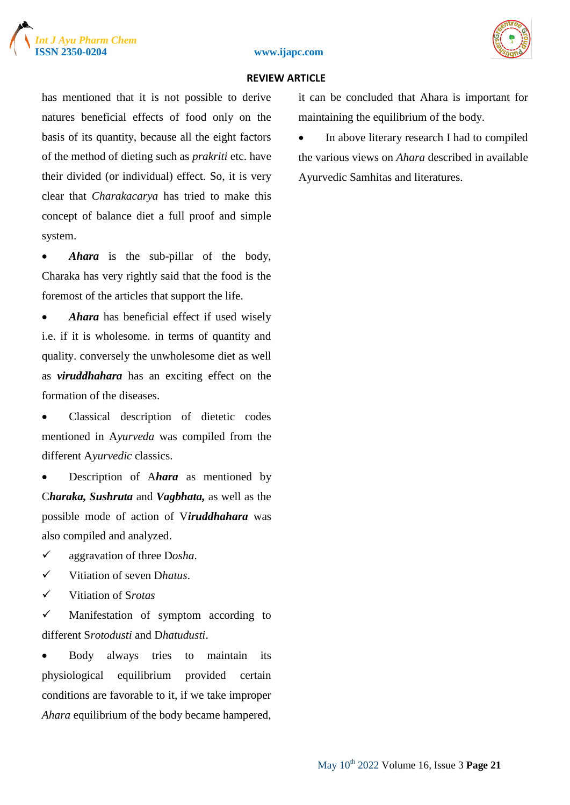

#### **ISSN 2350-0204 www.ijapc.com**



#### **REVIEW ARTICLE**

has mentioned that it is not possible to derive natures beneficial effects of food only on the basis of its quantity, because all the eight factors of the method of dieting such as *prakriti* etc. have their divided (or individual) effect. So, it is very clear that *Charakacarya* has tried to make this concept of balance diet a full proof and simple system.

• *Ahara* is the sub-pillar of the body, Charaka has very rightly said that the food is the foremost of the articles that support the life.

• *Ahara* has beneficial effect if used wisely i.e. if it is wholesome. in terms of quantity and quality. conversely the unwholesome diet as well as *viruddhahara* has an exciting effect on the formation of the diseases.

 Classical description of dietetic codes mentioned in A*yurveda* was compiled from the different A*yurvedic* classics.

 Description of A*hara* as mentioned by C*haraka, Sushruta* and *Vagbhata,* as well as the possible mode of action of V*iruddhahara* was also compiled and analyzed.

- aggravation of three D*osha*.
- Vitiation of seven D*hatus*.
- Vitiation of S*rotas*

 $\checkmark$  Manifestation of symptom according to different S*rotodusti* and D*hatudusti*.

 Body always tries to maintain its physiological equilibrium provided certain conditions are favorable to it, if we take improper *Ahara* equilibrium of the body became hampered, it can be concluded that Ahara is important for maintaining the equilibrium of the body.

• In above literary research I had to compiled the various views on *Ahara* described in available Ayurvedic Samhitas and literatures.